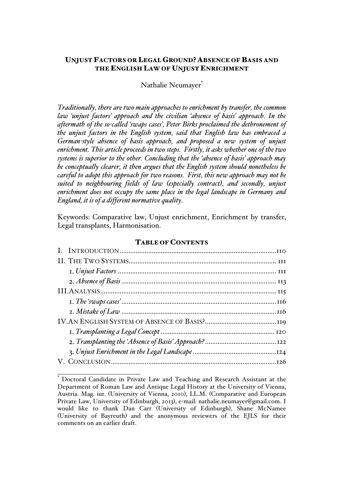# UNJUST FACTORS OR LEGAL GROUND? ABSENCE OF BASIS AND THE ENGLISH LAW OF UNJUST ENRICHMENT

# Nathalie Neumayer<sup>\*</sup>

*Traditionally, there are two main approaches to enrichment by transfer, the common law 'unjust factors' approach and the civilian 'absence of basis' approach. In the aftermath of the so-called 'swaps cases', Peter Birks proclaimed the dethronement of the unjust factors in the English system, said that English law has embraced a German-style absence of basis approach, and proposed a new system of unjust enrichment. This article proceeds in two steps. Firstly, it asks whether one of the two systems is superior to the other. Concluding that the 'absence of basis' approach may be conceptually clearer, it then argues that the English system should nonetheless be careful to adopt this approach for two reasons. First, this new approach may not be suited to neighbouring fields of law (especially contract), and secondly, unjust enrichment does not occupy the same place in the legal landscape in Germany and England, it is of a different normative quality.*

Keywords: Comparative law, Unjust enrichment, Enrichment by transfer, Legal transplants, Harmonisation.

#### TABLE OF CONTENTS

Doctoral Candidate in Private Law and Teaching and Research Assistant at the Department of Roman Law and Antique Legal History at the University of Vienna, Austria. Mag. iur. (University of Vienna, 2010), LL.M. (Comparative and European Private Law, University of Edinburgh, 2013), e-mail: nathalie.neumayer@gmail.com. I would like to thank Dan Carr (University of Edinburgh), Shane McNamee (University of Bayreuth) and the anonymous reviewers of the EJLS for their comments on an earlier draft.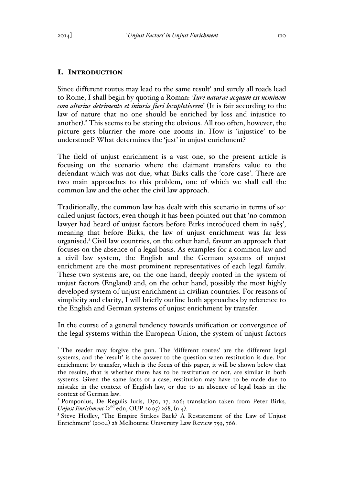### I. INTRODUCTION

Since different routes may lead to the same result<sup>1</sup> and surely all roads lead to Rome, I shall begin by quoting a Roman: *'Iure naturae aequum est neminem com alterius detrimento et iniuria fieri locupletiorem*' (It is fair according to the law of nature that no one should be enriched by loss and injustice to another). <sup>2</sup> This seems to be stating the obvious. All too often, however, the picture gets blurrier the more one zooms in. How is 'injustice' to be understood? What determines the 'just' in unjust enrichment?

The field of unjust enrichment is a vast one, so the present article is focusing on the scenario where the claimant transfers value to the defendant which was not due, what Birks calls the 'core case'. There are two main approaches to this problem, one of which we shall call the common law and the other the civil law approach.

Traditionally, the common law has dealt with this scenario in terms of socalled unjust factors, even though it has been pointed out that 'no common lawyer had heard of unjust factors before Birks introduced them in 1985', meaning that before Birks, the law of unjust enrichment was far less organised.<sup>3</sup> Civil law countries, on the other hand, favour an approach that focuses on the absence of a legal basis. As examples for a common law and a civil law system, the English and the German systems of unjust enrichment are the most prominent representatives of each legal family. These two systems are, on the one hand, deeply rooted in the system of unjust factors (England) and, on the other hand, possibly the most highly developed system of unjust enrichment in civilian countries. For reasons of simplicity and clarity, I will briefly outline both approaches by reference to the English and German systems of unjust enrichment by transfer.

In the course of a general tendency towards unification or convergence of the legal systems within the European Union, the system of unjust factors

<sup>&</sup>lt;sup>1</sup> The reader may forgive the pun. The 'different routes' are the different legal systems, and the 'result' is the answer to the question when restitution is due. For enrichment by transfer, which is the focus of this paper, it will be shown below that the results, that is whether there has to be restitution or not, are similar in both systems. Given the same facts of a case, restitution may have to be made due to mistake in the context of English law, or due to an absence of legal basis in the context of German law.

<sup>&</sup>lt;sup>2</sup> Pomponius, De Regulis Iuris, D50, 17, 206; translation taken from Peter Birks, *Unjust Enrichment*  $(2^{nd}$  edn, OUP 2005) 268,  $(n_4)$ .

<sup>&</sup>lt;sup>3</sup> Steve Hedley, 'The Empire Strikes Back? A Restatement of the Law of Unjust Enrichment' (2004) 28 Melbourne University Law Review 759, 766.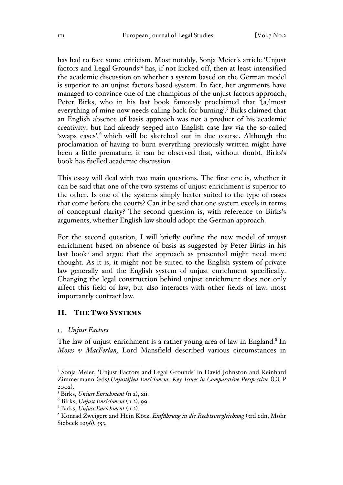has had to face some criticism. Most notably, Sonja Meier's article 'Unjust factors and Legal Grounds'<sup>4</sup> has, if not kicked off, then at least intensified the academic discussion on whether a system based on the German model is superior to an unjust factors-based system. In fact, her arguments have managed to convince one of the champions of the unjust factors approach, Peter Birks, who in his last book famously proclaimed that '[a]lmost everything of mine now needs calling back for burning'.<sup>5</sup> Birks claimed that an English absence of basis approach was not a product of his academic creativity, but had already seeped into English case law via the so-called 'swaps cases', which will be sketched out in due course. Although the proclamation of having to burn everything previously written might have been a little premature, it can be observed that, without doubt, Birks's book has fuelled academic discussion.

This essay will deal with two main questions. The first one is, whether it can be said that one of the two systems of unjust enrichment is superior to the other. Is one of the systems simply better suited to the type of cases that come before the courts? Can it be said that one system excels in terms of conceptual clarity? The second question is, with reference to Birks's arguments, whether English law should adopt the German approach.

For the second question, I will briefly outline the new model of unjust enrichment based on absence of basis as suggested by Peter Birks in his last book<sup>7</sup> and argue that the approach as presented might need more thought. As it is, it might not be suited to the English system of private law generally and the English system of unjust enrichment specifically. Changing the legal construction behind unjust enrichment does not only affect this field of law, but also interacts with other fields of law, most importantly contract law.

### II. THE TWO SYSTEMS

#### *Unjust Factors*

The law of unjust enrichment is a rather young area of law in England.<sup>8</sup> In *Moses v MacFerlan,* Lord Mansfield described various circumstances in

<sup>4</sup> Sonja Meier, 'Unjust Factors and Legal Grounds' in David Johnston and Reinhard Zimmermann (eds),*Unjustified Enrichment. Key Issues in Comparative Perspective* (CUP <sup>2002</sup>). <sup>5</sup> Birks, *Unjust Enrichment* (n 2), xii.

<sup>6</sup> Birks, *Unjust Enrichment* (n 2), 99.

<sup>7</sup> Birks, *Unjust Enrichment* (n 2). <sup>8</sup> Konrad Zweigert and Hein Kötz, *Einführung in die Rechtsvergleichung* (3rd edn, Mohr Siebeck 1996), 553.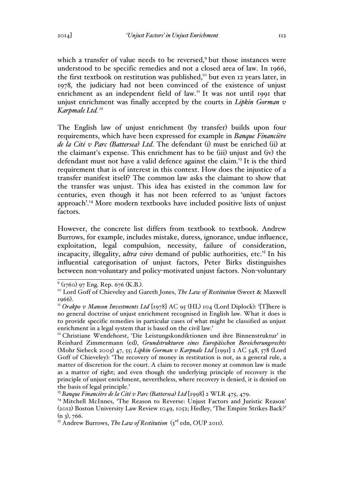which a transfer of value needs to be reversed,<sup>9</sup> but those instances were understood to be specific remedies and not a closed area of law. In 1966, the first textbook on restitution was published,<sup>10</sup> but even 12 years later, in 1978, the judiciary had not been convinced of the existence of unjust enrichment as an independent field of law.<sup>11</sup> It was not until 1991 that unjust enrichment was finally accepted by the courts in *Lipkin Gorman v*  Karpmale Ltd.<sup>12</sup>

The English law of unjust enrichment (by transfer) builds upon four requirements, which have been expressed for example in *Banque Financière de la Cité v Parc (Battersea) Ltd*. The defendant (i) must be enriched (ii) at the claimant's expense. This enrichment has to be (iii) unjust and (iv) the defendant must not have a valid defence against the claim.<sup>13</sup> It is the third requirement that is of interest in this context. How does the injustice of a transfer manifest itself? The common law asks the claimant to show that the transfer was unjust. This idea has existed in the common law for centuries, even though it has not been referred to as 'unjust factors approach'.14 More modern textbooks have included positive lists of unjust factors.

However, the concrete list differs from textbook to textbook. Andrew Burrows, for example, includes mistake, duress, ignorance, undue influence, exploitation, legal compulsion, necessity, failure of consideration, incapacity, illegality, *ultra vires* demand of public authorities, etc.<sup>15</sup> In his influential categorisation of unjust factors, Peter Birks distinguishes between non-voluntary and policy-motivated unjust factors. Non-voluntary

<sup>&</sup>lt;sup>9</sup> (1760) 97 Eng. Rep. 676 (K.B.).<br><sup>10</sup> Lord Goff of Chieveley and Gareth Jones, *The Law of Restitution* (Sweet & Maxwell <sup>1966</sup>). 11 *Orakpo v Manson Investments Ltd* [1978] AC 95 (HL) 104 (Lord Diplock): '[T]here is

no general doctrine of unjust enrichment recognised in English law. What it does is to provide specific remedies in particular cases of what might be classified as unjust enrichment in a legal system that is based on the civil law.' <sup>12</sup> Christiane Wendehorst, 'Die Leistungskondiktionen und ihre Binnenstruktur' in

Reinhard Zimmermann (ed), *Grundstrukturen eines Europäischen Bereicherungsrechts* (Mohr Siebeck 2005) 47, 55; *Lipkin Gorman v Karpnale Ltd* [1991] 2 AC 548, 578 (Lord Goff of Chieveley): 'The recovery of money in restitution is not, as a general rule, a matter of discretion for the court. A claim to recover money at common law is made as a matter of right; and even though the underlying principle of recovery is the principle of unjust enrichment, nevertheless, where recovery is denied, it is denied on the basis of legal principle.'

<sup>13</sup> *Banque Financière de la Cité v Parc (Battersea) Ltd* [1998] 2 WLR 475, 479.

<sup>&</sup>lt;sup>14</sup> Mitchell McInnes, 'The Reason to Reverse: Unjust Factors and Juristic Reason' (2012) Boston University Law Review 1049, 1052; Hedley, 'The Empire Strikes Back?'  $(n_3)$ , 766.

<sup>&</sup>lt;sup>15</sup> Andrew Burrows, *The Law of Restitution* (3<sup>rd</sup> edn, OUP 2011).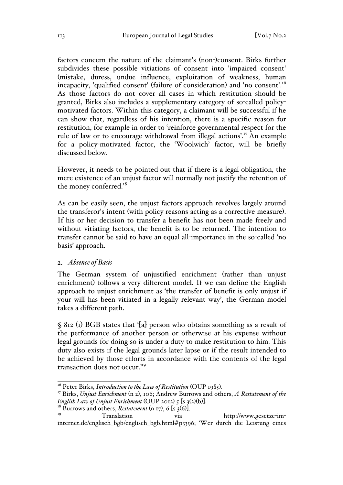factors concern the nature of the claimant's (non-)consent. Birks further subdivides these possible vitiations of consent into 'impaired consent' (mistake, duress, undue influence, exploitation of weakness, human incapacity, 'qualified consent' (failure of consideration) and 'no consent'.<sup>16</sup> As those factors do not cover all cases in which restitution should be granted, Birks also includes a supplementary category of so-called policymotivated factors. Within this category, a claimant will be successful if he can show that, regardless of his intention, there is a specific reason for restitution, for example in order to 'reinforce governmental respect for the rule of law or to encourage withdrawal from illegal actions'.17 An example for a policy-motivated factor, the 'Woolwich' factor, will be briefly discussed below.

However, it needs to be pointed out that if there is a legal obligation, the mere existence of an unjust factor will normally not justify the retention of the money conferred.<sup>18</sup>

As can be easily seen, the unjust factors approach revolves largely around the transferor's intent (with policy reasons acting as a corrective measure). If his or her decision to transfer a benefit has not been made freely and without vitiating factors, the benefit is to be returned. The intention to transfer cannot be said to have an equal all-importance in the so-called 'no basis' approach.

#### *Absence of Basis*

The German system of unjustified enrichment (rather than unjust enrichment) follows a very different model. If we can define the English approach to unjust enrichment as 'the transfer of benefit is only unjust if your will has been vitiated in a legally relevant way', the German model takes a different path.

§ 812 (1) BGB states that '[a] person who obtains something as a result of the performance of another person or otherwise at his expense without legal grounds for doing so is under a duty to make restitution to him. This duty also exists if the legal grounds later lapse or if the result intended to be achieved by those efforts in accordance with the contents of the legal transaction does not occur.'19

<sup>&</sup>lt;sup>16</sup> Peter Birks, *Introduction to the Law of Restitution* (OUP 1985).<br><sup>17</sup> Birks, *Unjust Enrichment* (n 2), 106; Andrew Burrows and others, *A Restatement of the English Law of Unjust Enrichment* (OUP 2012) 5 [s 3(2)(b)].<br><sup>18</sup> Burrows and others, *Restatement* (n 17), 6 [s 3(6)].<br><sup>19</sup> Translation via http://www.gesetze-im-

internet.de/englisch\_bgb/englisch\_bgb.html#p3396; 'Wer durch die Leistung eines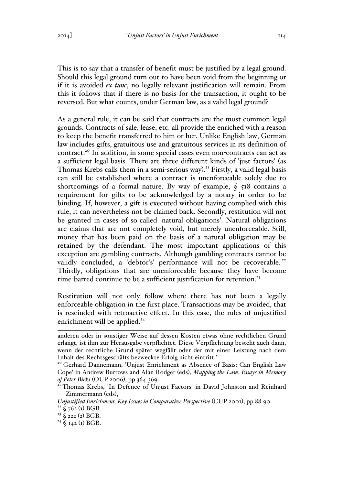This is to say that a transfer of benefit must be justified by a legal ground. Should this legal ground turn out to have been void from the beginning or if it is avoided *ex tunc*, no legally relevant justification will remain. From this it follows that if there is no basis for the transaction, it ought to be reversed. But what counts, under German law, as a valid legal ground?

As a general rule, it can be said that contracts are the most common legal grounds. Contracts of sale, lease, etc. all provide the enriched with a reason to keep the benefit transferred to him or her. Unlike English law, German law includes gifts, gratuitous use and gratuitous services in its definition of contract.20 In addition, in some special cases even non-contracts can act as a sufficient legal basis. There are three different kinds of 'just factors' (as Thomas Krebs calls them in a semi-serious way). <sup>21</sup> Firstly, a valid legal basis can still be established where a contract is unenforceable solely due to shortcomings of a formal nature. By way of example,  $\zeta$   $\zeta$   $\zeta$  contains a requirement for gifts to be acknowledged by a notary in order to be binding. If, however, a gift is executed without having complied with this rule, it can nevertheless not be claimed back. Secondly, restitution will not be granted in cases of so-called 'natural obligations'. Natural obligations are claims that are not completely void, but merely unenforceable. Still, money that has been paid on the basis of a natural obligation may be retained by the defendant. The most important applications of this exception are gambling contracts. Although gambling contracts cannot be validly concluded, a 'debtor's' performance will not be recoverable.<sup>22</sup> Thirdly, obligations that are unenforceable because they have become time-barred continue to be a sufficient justification for retention.<sup>23</sup>

Restitution will not only follow where there has not been a legally enforceable obligation in the first place. Transactions may be avoided, that is rescinded with retroactive effect. In this case, the rules of unjustified enrichment will be applied.<sup>24</sup>

 $\overline{a}$ anderen oder in sonstiger Weise auf dessen Kosten etwas ohne rechtlichen Grund erlangt, ist ihm zur Herausgabe verpflichtet. Diese Verpflichtung besteht auch dann, wenn der rechtliche Grund später wegfällt oder der mit einer Leistung nach dem Inhalt des Rechtsgeschäfts bezweckte Erfolg nicht eintritt.' <sup>20</sup> Gerhard Dannemann, 'Unjust Enrichment as Absence of Basis: Can English Law

Cope' in Andrew Burrows and Alan Rodger (eds), *Mapping the Law. Essays in Memory* 

*of Peter Birks* (OUP 2006), pp 364-369.<br><sup>21</sup> Thomas Krebs, 'In Defence of Unjust Factors' in David Johnston and Reinhard Zimmermann (eds),

*Unjustified Enrichment. Key Issues in Comparative Perspective* (CUP 2001), pp 88-90.<br><sup>22</sup> § 762 (1) BGB.

 $23 \xi$  222 (2) BGB.

 $24 \text{ }\mathsf{S}$  142 (1) BGB.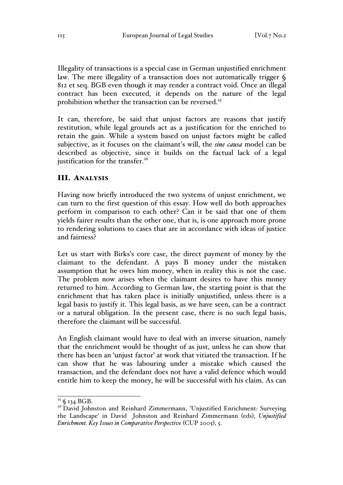Illegality of transactions is a special case in German unjustified enrichment law. The mere illegality of a transaction does not automatically trigger § 812 et seq. BGB even though it may render a contract void. Once an illegal contract has been executed, it depends on the nature of the legal prohibition whether the transaction can be reversed.<sup>25</sup>

It can, therefore, be said that unjust factors are reasons that justify restitution, while legal grounds act as a justification for the enriched to retain the gain. While a system based on unjust factors might be called subjective, as it focuses on the claimant's will, the *sine causa* model can be described as objective, since it builds on the factual lack of a legal justification for the transfer. $26$ 

### III. ANALYSIS

Having now briefly introduced the two systems of unjust enrichment, we can turn to the first question of this essay. How well do both approaches perform in comparison to each other? Can it be said that one of them yields fairer results than the other one, that is, is one approach more prone to rendering solutions to cases that are in accordance with ideas of justice and fairness?

Let us start with Birks's core case, the direct payment of money by the claimant to the defendant. A pays B money under the mistaken assumption that he owes him money, when in reality this is not the case. The problem now arises when the claimant desires to have this money returned to him. According to German law, the starting point is that the enrichment that has taken place is initially unjustified, unless there is a legal basis to justify it. This legal basis, as we have seen, can be a contract or a natural obligation. In the present case, there is no such legal basis, therefore the claimant will be successful.

An English claimant would have to deal with an inverse situation, namely that the enrichment would be thought of as just, unless he can show that there has been an 'unjust factor' at work that vitiated the transaction. If he can show that he was labouring under a mistake which caused the transaction, and the defendant does not have a valid defence which would entitle him to keep the money, he will be successful with his claim. As can

 $\frac{25}{25}$  § 134 BGB.<br><sup>26</sup> David Johnston and Reinhard Zimmermann, 'Unjustified Enrichment: Surveying the Landscape' in David Johnston and Reinhard Zimmermann (eds), *Unjustified Enrichment. Key Issues in Comparative Perspective* (CUP 2005), 5.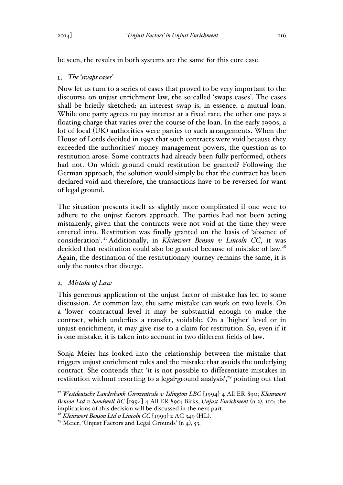be seen, the results in both systems are the same for this core case.

## *The 'swaps cases'*

Now let us turn to a series of cases that proved to be very important to the discourse on unjust enrichment law, the so-called 'swaps cases'. The cases shall be briefly sketched: an interest swap is, in essence, a mutual loan. While one party agrees to pay interest at a fixed rate, the other one pays a floating charge that varies over the course of the loan. In the early 1990s, a lot of local (UK) authorities were parties to such arrangements. When the House of Lords decided in 1992 that such contracts were void because they exceeded the authorities' money management powers, the question as to restitution arose. Some contracts had already been fully performed, others had not. On which ground could restitution be granted? Following the German approach, the solution would simply be that the contract has been declared void and therefore, the transactions have to be reversed for want of legal ground.

The situation presents itself as slightly more complicated if one were to adhere to the unjust factors approach. The parties had not been acting mistakenly, given that the contracts were not void at the time they were entered into. Restitution was finally granted on the basis of 'absence of consideration'. 27Additionally, in *Kleinwort Benson v Lincoln CC*, it was decided that restitution could also be granted because of mistake of law.<sup>28</sup> Again, the destination of the restitutionary journey remains the same, it is only the routes that diverge.

# *Mistake of Law*

This generous application of the unjust factor of mistake has led to some discussion. At common law, the same mistake can work on two levels. On a 'lower' contractual level it may be substantial enough to make the contract, which underlies a transfer, voidable. On a 'higher' level or in unjust enrichment, it may give rise to a claim for restitution. So, even if it is one mistake, it is taken into account in two different fields of law.

Sonja Meier has looked into the relationship between the mistake that triggers unjust enrichment rules and the mistake that avoids the underlying contract. She contends that 'it is not possible to differentiate mistakes in restitution without resorting to a legal-ground analysis',<sup>29</sup> pointing out that

<sup>27</sup> *Westdeutsche Landesbank Girozentrale v Islington LBC* [1994] 4 All ER 890; *Kleinwort Benson Ltd v Sandwell BC* [1994] 4 All ER 890; Birks, *Unjust Enrichment* (n 2), 110; the implications of this decision will be discussed in the next part.

<sup>&</sup>lt;sup>28</sup> *Kleinwort Benson Ltd v Lincoln CC* [1999] 2 AC 349 (HL).<br><sup>29</sup> Meier, 'Unjust Factors and Legal Grounds' (n 4), 53.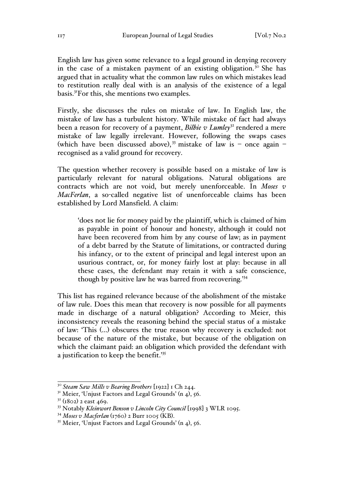English law has given some relevance to a legal ground in denying recovery in the case of a mistaken payment of an existing obligation.<sup>30</sup> She has argued that in actuality what the common law rules on which mistakes lead to restitution really deal with is an analysis of the existence of a legal basis.31For this, she mentions two examples.

Firstly, she discusses the rules on mistake of law. In English law, the mistake of law has a turbulent history. While mistake of fact had always been a reason for recovery of a payment, *Bilbie v Lumley*<sup>32</sup> rendered a mere mistake of law legally irrelevant. However, following the swaps cases (which have been discussed above), <sup>33</sup> mistake of law is – once again – recognised as a valid ground for recovery.

The question whether recovery is possible based on a mistake of law is particularly relevant for natural obligations. Natural obligations are contracts which are not void, but merely unenforceable. In *Moses v MacFerlan*, a so-called negative list of unenforceable claims has been established by Lord Mansfield. A claim:

'does not lie for money paid by the plaintiff, which is claimed of him as payable in point of honour and honesty, although it could not have been recovered from him by any course of law; as in payment of a debt barred by the Statute of limitations, or contracted during his infancy, or to the extent of principal and legal interest upon an usurious contract, or, for money fairly lost at play: because in all these cases, the defendant may retain it with a safe conscience, though by positive law he was barred from recovering.'<sup>34</sup>

This list has regained relevance because of the abolishment of the mistake of law rule. Does this mean that recovery is now possible for all payments made in discharge of a natural obligation? According to Meier, this inconsistency reveals the reasoning behind the special status of a mistake of law: 'This (…) obscures the true reason why recovery is excluded: not because of the nature of the mistake, but because of the obligation on which the claimant paid: an obligation which provided the defendant with a justification to keep the benefit.'<sup>35</sup>

<sup>30</sup> *Steam Saw Mills v Bearing Brothers* [1922] 1 Ch 244.

<sup>&</sup>lt;sup>31</sup> Meier, 'Unjust Factors and Legal Grounds' (n  $4$ ), 56.

 $3^{2}$  (1802) 2 east 469.

<sup>&</sup>lt;sup>33</sup> Notably *Kleinwort Benson v Lincoln City Council* [1998] 3 WLR 1095.

<sup>&</sup>lt;sup>34</sup> *Moses v Macferlan* (1760) 2 Burr 1005 (KB).<br><sup>35</sup> Meier, 'Unjust Factors and Legal Grounds' (n 4), 56.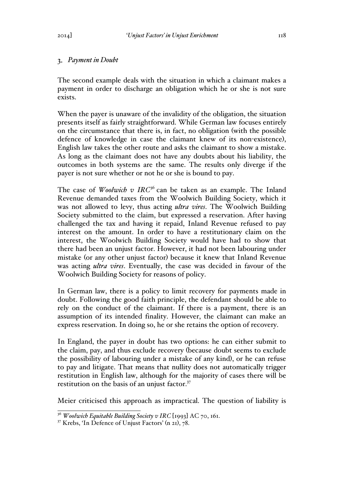## *Payment in Doubt*

The second example deals with the situation in which a claimant makes a payment in order to discharge an obligation which he or she is not sure exists.

When the payer is unaware of the invalidity of the obligation, the situation presents itself as fairly straightforward. While German law focuses entirely on the circumstance that there is, in fact, no obligation (with the possible defence of knowledge in case the claimant knew of its non-existence), English law takes the other route and asks the claimant to show a mistake. As long as the claimant does not have any doubts about his liability, the outcomes in both systems are the same. The results only diverge if the payer is not sure whether or not he or she is bound to pay.

The case of *Woolwich v IRC*<sup>36</sup> can be taken as an example. The Inland Revenue demanded taxes from the Woolwich Building Society, which it was not allowed to levy, thus acting *ultra vires*. The Woolwich Building Society submitted to the claim, but expressed a reservation. After having challenged the tax and having it repaid, Inland Revenue refused to pay interest on the amount. In order to have a restitutionary claim on the interest, the Woolwich Building Society would have had to show that there had been an unjust factor. However, it had not been labouring under mistake (or any other unjust factor) because it knew that Inland Revenue was acting *ultra vires*. Eventually, the case was decided in favour of the Woolwich Building Society for reasons of policy.

In German law, there is a policy to limit recovery for payments made in doubt. Following the good faith principle, the defendant should be able to rely on the conduct of the claimant. If there is a payment, there is an assumption of its intended finality. However, the claimant can make an express reservation. In doing so, he or she retains the option of recovery.

In England, the payer in doubt has two options: he can either submit to the claim, pay, and thus exclude recovery (because doubt seems to exclude the possibility of labouring under a mistake of any kind), or he can refuse to pay and litigate. That means that nullity does not automatically trigger restitution in English law, although for the majority of cases there will be restitution on the basis of an unjust factor.<sup>37</sup>

Meier criticised this approach as impractical. The question of liability is

<sup>36</sup> *Woolwich Equitable Building Society v IRC* [1993] AC 70, 161.

<sup>37</sup> Krebs, 'In Defence of Unjust Factors' (n 21), 78.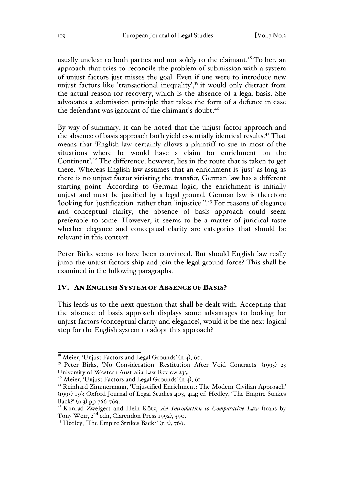usually unclear to both parties and not solely to the claimant.<sup>38</sup> To her, an approach that tries to reconcile the problem of submission with a system of unjust factors just misses the goal. Even if one were to introduce new unjust factors like 'transactional inequality',<sup>39</sup> it would only distract from the actual reason for recovery, which is the absence of a legal basis. She advocates a submission principle that takes the form of a defence in case the defendant was ignorant of the claimant's doubt.<sup>40</sup>

By way of summary, it can be noted that the unjust factor approach and the absence of basis approach both yield essentially identical results.41 That means that 'English law certainly allows a plaintiff to sue in most of the situations where he would have a claim for enrichment on the Continent'.<sup>42</sup> The difference, however, lies in the route that is taken to get there. Whereas English law assumes that an enrichment is 'just' as long as there is no unjust factor vitiating the transfer, German law has a different starting point. According to German logic, the enrichment is initially unjust and must be justified by a legal ground. German law is therefore 'looking for 'justification' rather than 'injustice'''.<sup>43</sup> For reasons of elegance and conceptual clarity, the absence of basis approach could seem preferable to some. However, it seems to be a matter of juridical taste whether elegance and conceptual clarity are categories that should be relevant in this context.

Peter Birks seems to have been convinced. But should English law really jump the unjust factors ship and join the legal ground force? This shall be examined in the following paragraphs.

### IV. AN ENGLISH SYSTEM OF ABSENCE OF BASIS?

This leads us to the next question that shall be dealt with. Accepting that the absence of basis approach displays some advantages to looking for unjust factors (conceptual clarity and elegance), would it be the next logical step for the English system to adopt this approach?

 $38$  Meier, 'Unjust Factors and Legal Grounds' (n 4), 60.

<sup>&</sup>lt;sup>39</sup> Peter Birks, 'No Consideration: Restitution After Void Contracts' (1993) 23 University of Western Australia Law Review 233.

<sup>&</sup>lt;sup>40</sup> Meier, 'Unjust Factors and Legal Grounds' (n  $_4$ ), 61.

<sup>41</sup> Reinhard Zimmermann, 'Unjustified Enrichment: The Modern Civilian Approach' (1995) 15/3 Oxford Journal of Legal Studies 403, 414; cf. Hedley, 'The Empire Strikes Back?' (n 3) pp  $766 - 769$ .

<sup>42</sup> Konrad Zweigert and Hein Kötz, *An Introduction to Comparative Law* (trans by Tony Weir, 2<sup>nd</sup> edn, Clarendon Press 1992), 590.

 $43$  Hedley, 'The Empire Strikes Back?' (n 3), 766.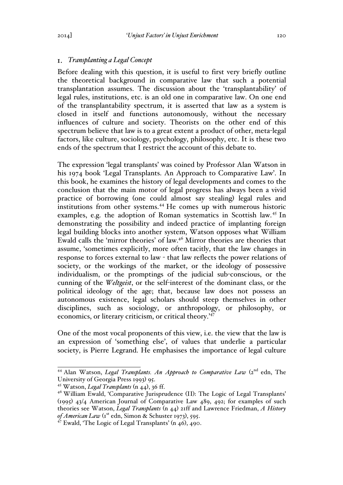## *Transplanting a Legal Concept*

Before dealing with this question, it is useful to first very briefly outline the theoretical background in comparative law that such a potential transplantation assumes. The discussion about the 'transplantability' of legal rules, institutions, etc. is an old one in comparative law. On one end of the transplantability spectrum, it is asserted that law as a system is closed in itself and functions autonomously, without the necessary influences of culture and society. Theorists on the other end of this spectrum believe that law is to a great extent a product of other, meta-legal factors, like culture, sociology, psychology, philosophy, etc. It is these two ends of the spectrum that I restrict the account of this debate to.

The expression 'legal transplants' was coined by Professor Alan Watson in his 1974 book 'Legal Transplants. An Approach to Comparative Law'. In this book, he examines the history of legal developments and comes to the conclusion that the main motor of legal progress has always been a vivid practice of borrowing (one could almost say stealing) legal rules and institutions from other systems.<sup>44</sup> He comes up with numerous historic examples, e.g. the adoption of Roman systematics in Scottish law.<sup>45</sup> In demonstrating the possibility and indeed practice of implanting foreign legal building blocks into another system, Watson opposes what William Ewald calls the 'mirror theories' of law.46 Mirror theories are theories that assume, 'sometimes explicitly, more often tacitly, that the law changes in response to forces external to law - that law reflects the power relations of society, or the workings of the market, or the ideology of possessive individualism, or the promptings of the judicial sub-conscious, or the cunning of the *Weltgeist*, or the self-interest of the dominant class, or the political ideology of the age; that, because law does not possess an autonomous existence, legal scholars should steep themselves in other disciplines, such as sociology, or anthropology, or philosophy, or economics, or literary criticism, or critical theory.'<sup>47</sup>

One of the most vocal proponents of this view, i.e. the view that the law is an expression of 'something else', of values that underlie a particular society, is Pierre Legrand. He emphasises the importance of legal culture

<sup>&</sup>lt;sup>44</sup> Alan Watson, *Legal Transplants. An Approach to Comparative Law* (2<sup>nd</sup> edn, The University of Georgia Press 1993) 95.

<sup>45</sup> Watson, *Legal Transplants* (n 44), 36 ff.

<sup>&</sup>lt;sup>46</sup> William Ewald, 'Comparative Jurisprudence (II): The Logic of Legal Transplants' (1995) 43/4 American Journal of Comparative Law 489, 492; for examples of such theories see Watson, *Legal Transplants* (n 44) 21ff and Lawrence Friedman, *A History*  of American Law (1<sup>st</sup> edn, Simon & Schuster 1973), 595.

<sup>47</sup> Ewald, 'The Logic of Legal Transplants' (n 46), 490.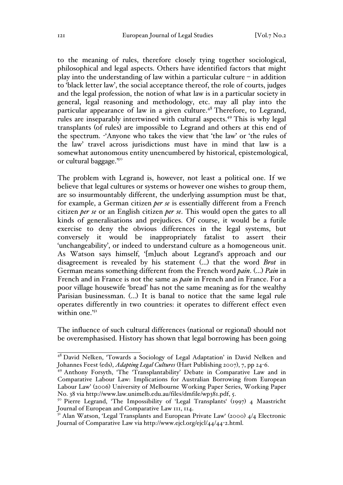to the meaning of rules, therefore closely tying together sociological, philosophical and legal aspects. Others have identified factors that might play into the understanding of law within a particular culture  $-$  in addition to 'black letter law', the social acceptance thereof, the role of courts, judges and the legal profession, the notion of what law is in a particular society in general, legal reasoning and methodology, etc. may all play into the particular appearance of law in a given culture. $48$  Therefore, to Legrand, rules are inseparably intertwined with cultural aspects.49 This is why legal transplants (of rules) are impossible to Legrand and others at this end of the spectrum. -'Anyone who takes the view that 'the law' or 'the rules of the law' travel across jurisdictions must have in mind that law is a somewhat autonomous entity unencumbered by historical, epistemological, or cultural baggage.'50

The problem with Legrand is, however, not least a political one. If we believe that legal cultures or systems or however one wishes to group them, are so insurmountably different, the underlying assumption must be that, for example, a German citizen *per se* is essentially different from a French citizen *per se* or an English citizen *per se*. This would open the gates to all kinds of generalisations and prejudices. Of course, it would be a futile exercise to deny the obvious differences in the legal systems, but conversely it would be inappropriately fatalist to assert their 'unchangeability', or indeed to understand culture as a homogeneous unit. As Watson says himself, '[m]uch about Legrand's approach and our disagreement is revealed by his statement (…) that the word *Brot* in German means something different from the French word *pain*. (…) *Pain* in French and in France is not the same as *pain* in French and in France. For a poor village housewife 'bread' has not the same meaning as for the wealthy Parisian businessman. (…) It is banal to notice that the same legal rule operates differently in two countries: it operates to different effect even within one.<sup>'51</sup>

The influence of such cultural differences (national or regional) should not be overemphasised. History has shown that legal borrowing has been going

<sup>&</sup>lt;sup>48</sup> David Nelken, 'Towards a Sociology of Legal Adaptation' in David Nelken and Johannes Feest (eds), *Adapting Legal Cultures* (Hart Publishing 2007), 7, pp 24-6.

<sup>49</sup> Anthony Forsyth, 'The 'Transplantability' Debate in Comparative Law and in Comparative Labour Law: Implications for Australian Borrowing from European Labour Law' (2006) University of Melbourne Working Paper Series, Working Paper No. 38 via http://www.law.unimelb.edu.au/files/dmfile/wp381.pdf, 5.

<sup>&</sup>lt;sup>50</sup> Pierre Legrand, 'The Impossibility of 'Legal Transplants' (1997) 4 Maastricht Journal of European and Comparative Law 111, 114.

<sup>&</sup>lt;sup>51</sup> Alan Watson, 'Legal Transplants and European Private Law' (2000) 4/4 Electronic Journal of Comparative Law via http://www.ejcl.org/ejcl/44/44-2.html.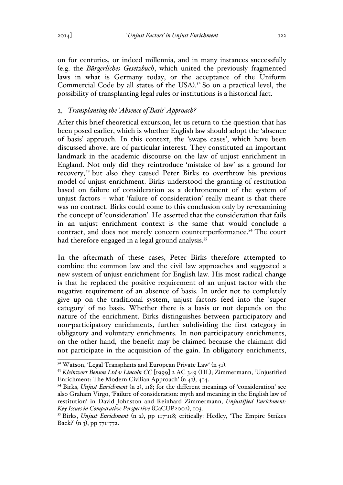on for centuries, or indeed millennia, and in many instances successfully (e.g. the *Bürgerliches Gesetzbuch*, which united the previously fragmented laws in what is Germany today, or the acceptance of the Uniform Commercial Code by all states of the USA). <sup>52</sup> So on a practical level, the possibility of transplanting legal rules or institutions is a historical fact.

# *Transplanting the 'Absence of Basis' Approach?*

After this brief theoretical excursion, let us return to the question that has been posed earlier, which is whether English law should adopt the 'absence of basis' approach. In this context, the 'swaps cases', which have been discussed above, are of particular interest. They constituted an important landmark in the academic discourse on the law of unjust enrichment in England. Not only did they reintroduce 'mistake of law' as a ground for recovery, <sup>53</sup> but also they caused Peter Birks to overthrow his previous model of unjust enrichment. Birks understood the granting of restitution based on failure of consideration as a dethronement of the system of unjust factors – what 'failure of consideration' really meant is that there was no contract. Birks could come to this conclusion only by re-examining the concept of 'consideration'. He asserted that the consideration that fails in an unjust enrichment context is the same that would conclude a contract, and does not merely concern counter-performance.<sup>54</sup> The court had therefore engaged in a legal ground analysis.<sup>55</sup>

In the aftermath of these cases, Peter Birks therefore attempted to combine the common law and the civil law approaches and suggested a new system of unjust enrichment for English law. His most radical change is that he replaced the positive requirement of an unjust factor with the negative requirement of an absence of basis. In order not to completely give up on the traditional system, unjust factors feed into the 'super category' of no basis. Whether there is a basis or not depends on the nature of the enrichment. Birks distinguishes between participatory and non-participatory enrichments, further subdividing the first category in obligatory and voluntary enrichments. In non-participatory enrichments, on the other hand, the benefit may be claimed because the claimant did not participate in the acquisition of the gain. In obligatory enrichments,

<sup>52</sup> Watson, 'Legal Transplants and European Private Law' (n 51). 53 *Kleinwort Benson Ltd v Lincoln CC* [1999] 2 AC 349 (HL); Zimmermann, 'Unjustified Enrichment: The Modern Civilian Approach' (n 41), 414.

<sup>54</sup> Birks, *Unjust Enrichment* (n 2), 118; for the different meanings of 'consideration' see also Graham Virgo, 'Failure of consideration: myth and meaning in the English law of restitution' in David Johnston and Reinhard Zimmermann, *Unjustified Enrichment: Key Issues in Comparative Perspective* (CaCUP2002), 103.

<sup>55</sup> Birks, *Unjust Enrichment* (n 2), pp 117-118; critically: Hedley, 'The Empire Strikes Back?' (n 3), pp 771-772.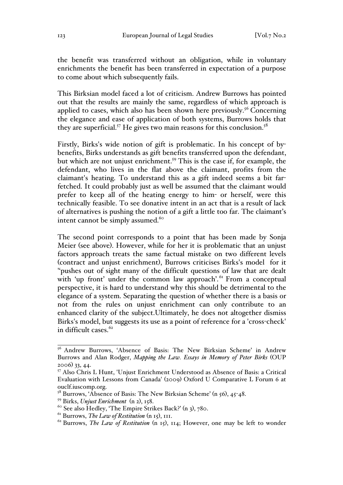the benefit was transferred without an obligation, while in voluntary enrichments the benefit has been transferred in expectation of a purpose to come about which subsequently fails.

This Birksian model faced a lot of criticism. Andrew Burrows has pointed out that the results are mainly the same, regardless of which approach is applied to cases, which also has been shown here previously.<sup>56</sup> Concerning the elegance and ease of application of both systems, Burrows holds that they are superficial.<sup>57</sup> He gives two main reasons for this conclusion.<sup>58</sup>

Firstly, Birks's wide notion of gift is problematic. In his concept of bybenefits, Birks understands as gift benefits transferred upon the defendant, but which are not unjust enrichment.<sup>59</sup> This is the case if, for example, the defendant, who lives in the flat above the claimant, profits from the claimant's heating. To understand this as a gift indeed seems a bit farfetched. It could probably just as well be assumed that the claimant would prefer to keep all of the heating energy to him- or herself, were this technically feasible. To see donative intent in an act that is a result of lack of alternatives is pushing the notion of a gift a little too far. The claimant's intent cannot be simply assumed.<sup>60</sup>

The second point corresponds to a point that has been made by Sonja Meier (see above). However, while for her it is problematic that an unjust factors approach treats the same factual mistake on two different levels (contract and unjust enrichment), Burrows criticises Birks's model for it ''pushes out of sight many of the difficult questions of law that are dealt with 'up front' under the common law approach'.<sup>61</sup> From a conceptual perspective, it is hard to understand why this should be detrimental to the elegance of a system. Separating the question of whether there is a basis or not from the rules on unjust enrichment can only contribute to an enhanced clarity of the subject.Ultimately, he does not altogether dismiss Birks's model, but suggests its use as a point of reference for a 'cross-check' in difficult cases. $62$ 

<sup>&</sup>lt;sup>56</sup> Andrew Burrows, 'Absence of Basis: The New Birksian Scheme' in Andrew Burrows and Alan Rodger, *Mapping the Law. Essays in Memory of Peter Birks* (OUP 2006) 33, 44.

<sup>57</sup> Also Chris L Hunt, 'Unjust Enrichment Understood as Absence of Basis: a Critical Evaluation with Lessons from Canada' (2009) Oxford U Comparative L Forum 6 at ouclf.iuscomp.org.<br><sup>58</sup> Burrows, 'Absence of Basis: The New Birksian Scheme' (n 56), 45-48.

<sup>59</sup> Birks, *Unjust Enrichment* (n 2), 158.

 $60$  See also Hedley, 'The Empire Strikes Back?' (n 3), 780.

<sup>61</sup> Burrows, *The Law of Restitution* (n 15), 111.

 $62$  Burrows, *The Law of Restitution* (n 15), 114; However, one may be left to wonder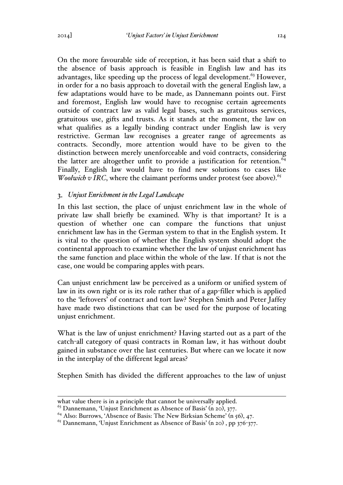On the more favourable side of reception, it has been said that a shift to the absence of basis approach is feasible in English law and has its advantages, like speeding up the process of legal development.<sup>63</sup> However, in order for a no basis approach to dovetail with the general English law, a few adaptations would have to be made, as Dannemann points out. First and foremost, English law would have to recognise certain agreements outside of contract law as valid legal bases, such as gratuitous services, gratuitous use, gifts and trusts. As it stands at the moment, the law on what qualifies as a legally binding contract under English law is very restrictive. German law recognises a greater range of agreements as contracts. Secondly, more attention would have to be given to the distinction between merely unenforceable and void contracts, considering the latter are altogether unfit to provide a justification for retention.  $64$ Finally, English law would have to find new solutions to cases like Woolwich v IRC, where the claimant performs under protest (see above).<sup>65</sup>

# *Unjust Enrichment in the Legal Landscape*

In this last section, the place of unjust enrichment law in the whole of private law shall briefly be examined. Why is that important? It is a question of whether one can compare the functions that unjust enrichment law has in the German system to that in the English system. It is vital to the question of whether the English system should adopt the continental approach to examine whether the law of unjust enrichment has the same function and place within the whole of the law. If that is not the case, one would be comparing apples with pears.

Can unjust enrichment law be perceived as a uniform or unified system of law in its own right or is its role rather that of a gap-filler which is applied to the 'leftovers' of contract and tort law? Stephen Smith and Peter Jaffey have made two distinctions that can be used for the purpose of locating unjust enrichment.

What is the law of unjust enrichment? Having started out as a part of the catch-all category of quasi contracts in Roman law, it has without doubt gained in substance over the last centuries. But where can we locate it now in the interplay of the different legal areas?

Stephen Smith has divided the different approaches to the law of unjust

 $\overline{a}$ what value there is in a principle that cannot be universally applied.

<sup>&</sup>lt;sup>63</sup> Dannemann, 'Unjust Enrichment as Absence of Basis' (n 20), 377.

 $64$  Also: Burrows, 'Absence of Basis: The New Birksian Scheme' (n 56), 47.

 $^{65}$  Dannemann, 'Unjust Enrichment as Absence of Basis' (n 20), pp 376-377.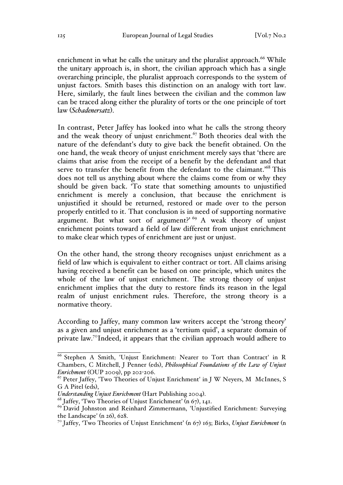enrichment in what he calls the unitary and the pluralist approach. $66$  While the unitary approach is, in short, the civilian approach which has a single overarching principle, the pluralist approach corresponds to the system of unjust factors. Smith bases this distinction on an analogy with tort law. Here, similarly, the fault lines between the civilian and the common law can be traced along either the plurality of torts or the one principle of tort law (*Schadenersatz*).

In contrast, Peter Jaffey has looked into what he calls the strong theory and the weak theory of unjust enrichment.<sup>67</sup> Both theories deal with the nature of the defendant's duty to give back the benefit obtained. On the one hand, the weak theory of unjust enrichment merely says that 'there are claims that arise from the receipt of a benefit by the defendant and that serve to transfer the benefit from the defendant to the claimant.<sup>'68</sup> This does not tell us anything about where the claims come from or why they should be given back. 'To state that something amounts to unjustified enrichment is merely a conclusion, that because the enrichment is unjustified it should be returned, restored or made over to the person properly entitled to it. That conclusion is in need of supporting normative argument. But what sort of argument?' <sup>69</sup> A weak theory of unjust enrichment points toward a field of law different from unjust enrichment to make clear which types of enrichment are just or unjust.

On the other hand, the strong theory recognises unjust enrichment as a field of law which is equivalent to either contract or tort. All claims arising having received a benefit can be based on one principle, which unites the whole of the law of unjust enrichment. The strong theory of unjust enrichment implies that the duty to restore finds its reason in the legal realm of unjust enrichment rules. Therefore, the strong theory is a normative theory.

According to Jaffey, many common law writers accept the 'strong theory' as a given and unjust enrichment as a 'tertium quid', a separate domain of private law.70Indeed, it appears that the civilian approach would adhere to

<sup>66</sup> Stephen A Smith, 'Unjust Enrichment: Nearer to Tort than Contract' in R Chambers, C Mitchell, J Penner (eds), *Philosophical Foundations of the Law of Unjust Enrichment* (OUP 2009), pp 202-206.

<sup>&</sup>lt;sup>67</sup> Peter Jaffey, 'Two Theories of Unjust Enrichment' in J W Neyers, M McInnes, S G A Pitel (eds),

*Understanding Unjust Enrichment* (Hart Publishing 2004).<br><sup>68</sup> Jaffey, 'Two Theories of Unjust Enrichment' (n 67), 141.

<sup>&</sup>lt;sup>69</sup> David Johnston and Reinhard Zimmermann, 'Unjustified Enrichment: Surveying the Landscape' (n 26), 628.

<sup>70</sup> Jaffey, 'Two Theories of Unjust Enrichment' (n 67) 163; Birks, *Unjust Enrichment* (n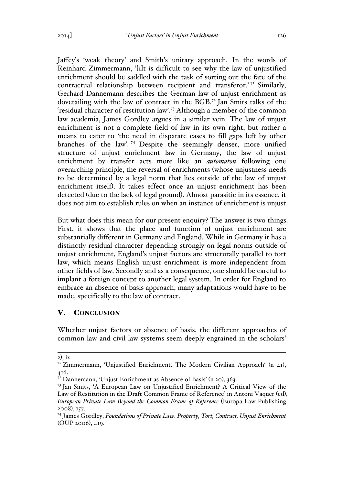Jaffey's 'weak theory' and Smith's unitary approach. In the words of Reinhard Zimmermann, '[i]t is difficult to see why the law of unjustified enrichment should be saddled with the task of sorting out the fate of the contractual relationship between recipient and transferor.'<sup>71</sup> Similarly, Gerhard Dannemann describes the German law of unjust enrichment as dovetailing with the law of contract in the BGB.<sup>72</sup> Jan Smits talks of the 'residual character of restitution law'.<sup>73</sup> Although a member of the common law academia, James Gordley argues in a similar vein. The law of unjust enrichment is not a complete field of law in its own right, but rather a means to cater to 'the need in disparate cases to fill gaps left by other branches of the law'. <sup>74</sup> Despite the seemingly denser, more unified structure of unjust enrichment law in Germany, the law of unjust enrichment by transfer acts more like an *automaton* following one overarching principle, the reversal of enrichments (whose unjustness needs to be determined by a legal norm that lies outside of the law of unjust enrichment itself). It takes effect once an unjust enrichment has been detected (due to the lack of legal ground). Almost parasitic in its essence, it does not aim to establish rules on when an instance of enrichment is unjust.

But what does this mean for our present enquiry? The answer is two things. First, it shows that the place and function of unjust enrichment are substantially different in Germany and England. While in Germany it has a distinctly residual character depending strongly on legal norms outside of unjust enrichment, England's unjust factors are structurally parallel to tort law, which means English unjust enrichment is more independent from other fields of law. Secondly and as a consequence, one should be careful to implant a foreign concept to another legal system. In order for England to embrace an absence of basis approach, many adaptations would have to be made, specifically to the law of contract.

### V. CONCLUSION

Whether unjust factors or absence of basis, the different approaches of common law and civil law systems seem deeply engrained in the scholars'

 $\overline{a}$ 2), ix.

<sup>&</sup>lt;sup>71</sup> Zimmermann, 'Unjustified Enrichment. The Modern Civilian Approach' (n 41), 416.

 $72$  Dannemann, 'Unjust Enrichment as Absence of Basis' (n 20), 363.

<sup>73</sup> Jan Smits, 'A European Law on Unjustified Enrichment? A Critical View of the Law of Restitution in the Draft Common Frame of Reference' in Antoni Vaquer (ed), *European Private Law Beyond the Common Frame of Reference* (Europa Law Publishing 2008), 157.

<sup>74</sup> James Gordley, *Foundations of Private Law. Property, Tort, Contract, Unjust Enrichment* (OUP 2006), 419.